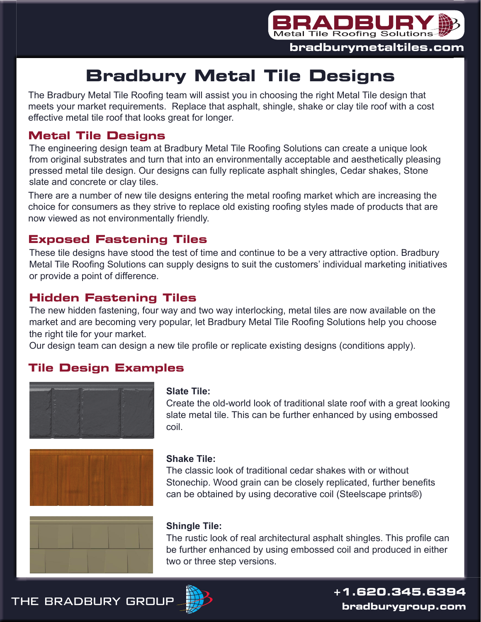

# **Bradbury Metal Tile Designs**

The Bradbury Metal Tile Roofing team will assist you in choosing the right Metal Tile design that meets your market requirements. Replace that asphalt, shingle, shake or clay tile roof with a cost effective metal tile roof that looks great for longer.

# **Metal Tile Designs**

The engineering design team at Bradbury Metal Tile Roofing Solutions can create a unique look from original substrates and turn that into an environmentally acceptable and aesthetically pleasing pressed metal tile design. Our designs can fully replicate asphalt shingles, Cedar shakes, Stone slate and concrete or clay tiles.

There are a number of new tile designs entering the metal roofing market which are increasing the choice for consumers as they strive to replace old existing roofing styles made of products that are now viewed as not environmentally friendly.

### **Exposed Fastening Tiles**

These tile designs have stood the test of time and continue to be a very attractive option. Bradbury Metal Tile Roofing Solutions can supply designs to suit the customers' individual marketing initiatives or provide a point of difference.

# **Hidden Fastening Tiles**

The new hidden fastening, four way and two way interlocking, metal tiles are now available on the market and are becoming very popular, let Bradbury Metal Tile Roofing Solutions help you choose the right tile for your market.

Our design team can design a new tile profile or replicate existing designs (conditions apply).

#### **Tile Design Examples**





#### **Slate Tile:**

Create the old-world look of traditional slate roof with a great looking slate metal tile. This can be further enhanced by using embossed coil.

#### **Shake Tile:**

The classic look of traditional cedar shakes with or without Stonechip. Wood grain can be closely replicated, further benefits can be obtained by using decorative coil (Steelscape prints®)



#### **Shingle Tile:**

The rustic look of real architectural asphalt shingles. This profile can be further enhanced by using embossed coil and produced in either two or three step versions.